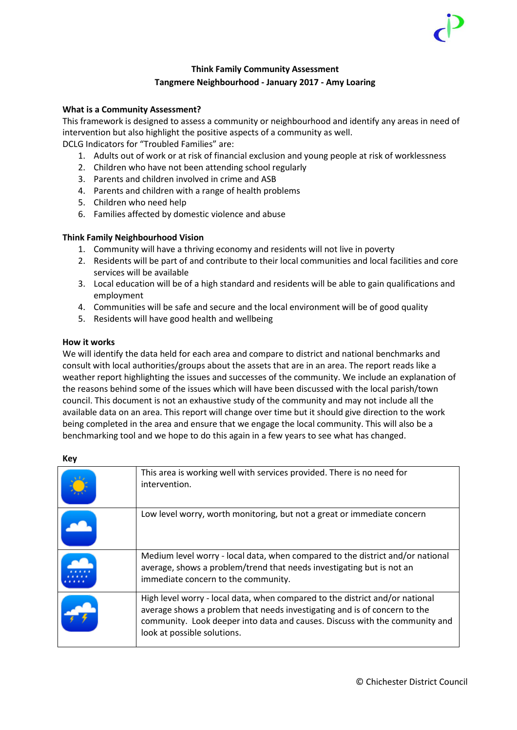#### **Think Family Community Assessment Tangmere Neighbourhood - January 2017 - Amy Loaring**

#### **What is a Community Assessment?**

This framework is designed to assess a community or neighbourhood and identify any areas in need of intervention but also highlight the positive aspects of a community as well.

DCLG Indicators for "Troubled Families" are:

- 1. Adults out of work or at risk of financial exclusion and young people at risk of worklessness
- 2. Children who have not been attending school regularly
- 3. Parents and children involved in crime and ASB
- 4. Parents and children with a range of health problems
- 5. Children who need help
- 6. Families affected by domestic violence and abuse

#### **Think Family Neighbourhood Vision**

- 1. Community will have a thriving economy and residents will not live in poverty
- 2. Residents will be part of and contribute to their local communities and local facilities and core services will be available
- 3. Local education will be of a high standard and residents will be able to gain qualifications and employment
- 4. Communities will be safe and secure and the local environment will be of good quality
- 5. Residents will have good health and wellbeing

#### **How it works**

We will identify the data held for each area and compare to district and national benchmarks and consult with local authorities/groups about the assets that are in an area. The report reads like a weather report highlighting the issues and successes of the community. We include an explanation of the reasons behind some of the issues which will have been discussed with the local parish/town council. This document is not an exhaustive study of the community and may not include all the available data on an area. This report will change over time but it should give direction to the work being completed in the area and ensure that we engage the local community. This will also be a benchmarking tool and we hope to do this again in a few years to see what has changed.

| This area is working well with services provided. There is no need for<br>intervention.                                                                                                                                                                                 |
|-------------------------------------------------------------------------------------------------------------------------------------------------------------------------------------------------------------------------------------------------------------------------|
| Low level worry, worth monitoring, but not a great or immediate concern                                                                                                                                                                                                 |
| Medium level worry - local data, when compared to the district and/or national<br>average, shows a problem/trend that needs investigating but is not an<br>immediate concern to the community.                                                                          |
| High level worry - local data, when compared to the district and/or national<br>average shows a problem that needs investigating and is of concern to the<br>community. Look deeper into data and causes. Discuss with the community and<br>look at possible solutions. |

#### **Key**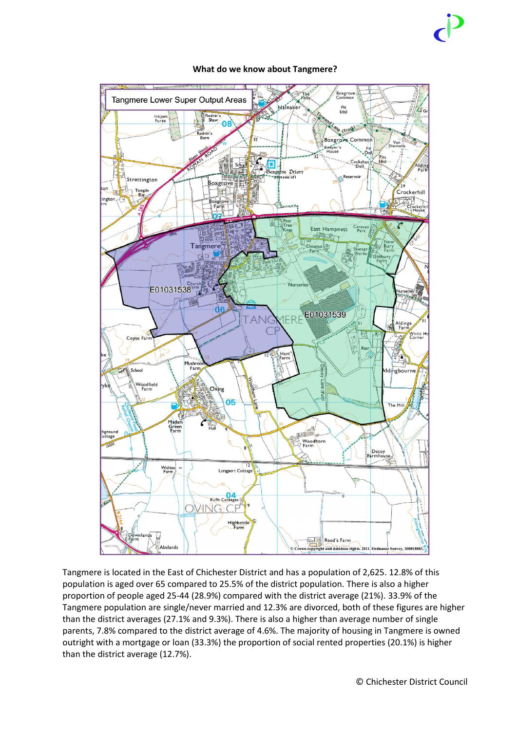

#### **What do we know about Tangmere?**

Tangmere is located in the East of Chichester District and has a population of 2,625. 12.8% of this population is aged over 65 compared to 25.5% of the district population. There is also a higher proportion of people aged 25-44 (28.9%) compared with the district average (21%). 33.9% of the Tangmere population are single/never married and 12.3% are divorced, both of these figures are higher than the district averages (27.1% and 9.3%). There is also a higher than average number of single parents, 7.8% compared to the district average of 4.6%. The majority of housing in Tangmere is owned outright with a mortgage or loan (33.3%) the proportion of social rented properties (20.1%) is higher than the district average (12.7%).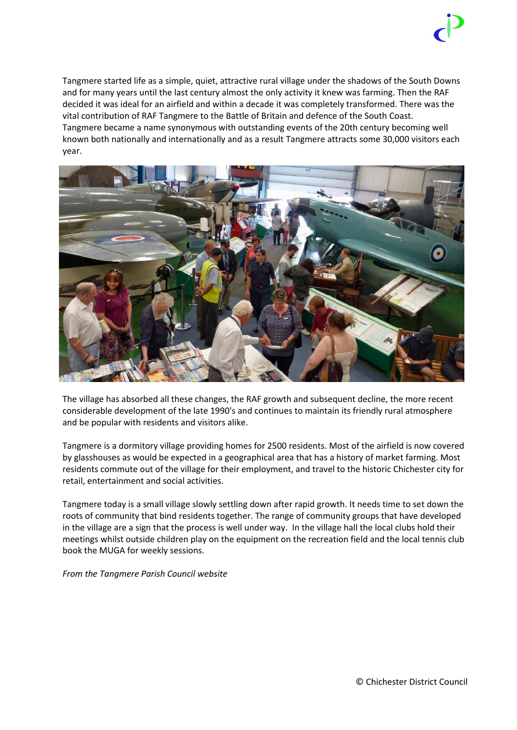

Tangmere started life as a simple, quiet, attractive rural village under the shadows of the South Downs and for many years until the last century almost the only activity it knew was farming. Then the RAF decided it was ideal for an airfield and within a decade it was completely transformed. There was the vital contribution of RAF Tangmere to the Battle of Britain and defence of the South Coast. Tangmere became a name synonymous with outstanding events of the 20th century becoming well known both nationally and internationally and as a result Tangmere attracts some 30,000 visitors each year.



The village has absorbed all these changes, the RAF growth and subsequent decline, the more recent considerable development of the late 1990's and continues to maintain its friendly rural atmosphere and be popular with residents and visitors alike.

Tangmere is a dormitory village providing homes for 2500 residents. Most of the airfield is now covered by glasshouses as would be expected in a geographical area that has a history of market farming. Most residents commute out of the village for their employment, and travel to the historic Chichester city for retail, entertainment and social activities.

Tangmere today is a small village slowly settling down after rapid growth. It needs time to set down the roots of community that bind residents together. The range of community groups that have developed in the village are a sign that the process is well under way. In the village hall the local clubs hold their meetings whilst outside children play on the equipment on the recreation field and the local tennis club book the MUGA for weekly sessions.

*From the Tangmere Parish Council website*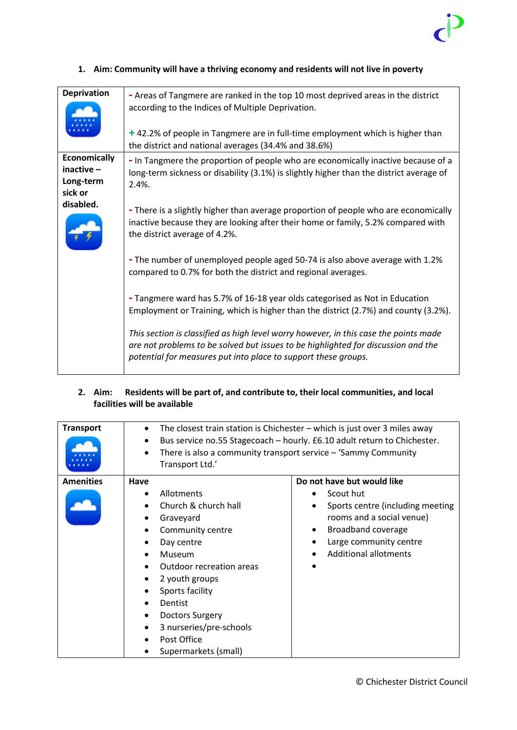

| <b>Deprivation</b>                                                                                                                            | - Areas of Tangmere are ranked in the top 10 most deprived areas in the district<br>according to the Indices of Multiple Deprivation.<br>+42.2% of people in Tangmere are in full-time employment which is higher than<br>the district and national averages (34.4% and 38.6%) |
|-----------------------------------------------------------------------------------------------------------------------------------------------|--------------------------------------------------------------------------------------------------------------------------------------------------------------------------------------------------------------------------------------------------------------------------------|
| <b>Economically</b><br>$inactive -$<br>Long-term<br>sick or                                                                                   | - In Tangmere the proportion of people who are economically inactive because of a<br>long-term sickness or disability (3.1%) is slightly higher than the district average of<br>$2.4\%$ .                                                                                      |
| disabled.                                                                                                                                     | - There is a slightly higher than average proportion of people who are economically<br>inactive because they are looking after their home or family, 5.2% compared with<br>the district average of 4.2%.                                                                       |
| - The number of unemployed people aged 50-74 is also above average with 1.2%<br>compared to 0.7% for both the district and regional averages. |                                                                                                                                                                                                                                                                                |
|                                                                                                                                               | - Tangmere ward has 5.7% of 16-18 year olds categorised as Not in Education<br>Employment or Training, which is higher than the district (2.7%) and county (3.2%).                                                                                                             |
|                                                                                                                                               | This section is classified as high level worry however, in this case the points made<br>are not problems to be solved but issues to be highlighted for discussion and the<br>potential for measures put into place to support these groups.                                    |

#### **1. Aim: Community will have a thriving economy and residents will not live in poverty**

#### **2. Aim: Residents will be part of, and contribute to, their local communities, and local facilities will be available**

| <b>Transport</b> | ٠<br>$\bullet$<br>Transport Ltd.'                                                                                                                                                           | The closest train station is Chichester $-$ which is just over 3 miles away<br>Bus service no.55 Stagecoach - hourly. £6.10 adult return to Chichester.<br>There is also a community transport service $-$ 'Sammy Community |  |  |
|------------------|---------------------------------------------------------------------------------------------------------------------------------------------------------------------------------------------|-----------------------------------------------------------------------------------------------------------------------------------------------------------------------------------------------------------------------------|--|--|
| <b>Amenities</b> | Have<br>Allotments<br>Church & church hall<br>Graveyard<br>Community centre<br>Day centre<br>Museum<br>٠<br><b>Outdoor recreation areas</b><br>2 youth groups<br>Sports facility<br>Dentist | Do not have but would like<br>Scout hut<br>Sports centre (including meeting<br>rooms and a social venue)<br>Broadband coverage<br>$\bullet$<br>Large community centre<br><b>Additional allotments</b>                       |  |  |
|                  | <b>Doctors Surgery</b><br>3 nurseries/pre-schools<br>Post Office<br>Supermarkets (small)                                                                                                    |                                                                                                                                                                                                                             |  |  |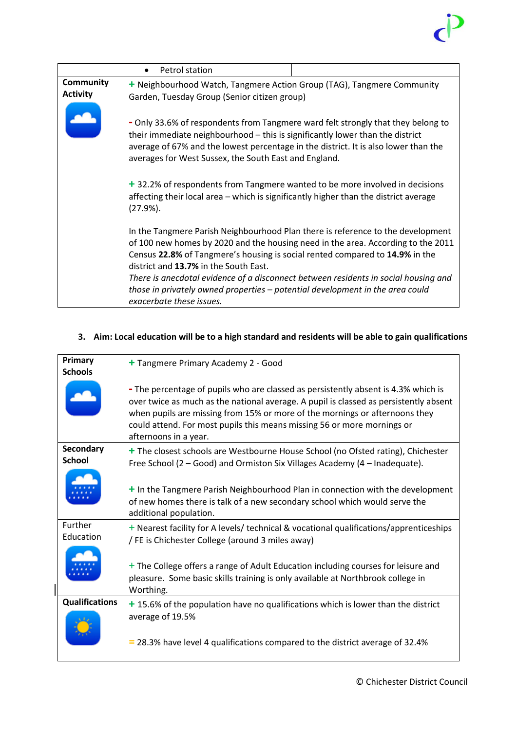## $\vec{c}$

|                                     | Petrol station<br>$\bullet$                                                                                                                                                                                                                                                                                       |                                                                                     |  |  |  |
|-------------------------------------|-------------------------------------------------------------------------------------------------------------------------------------------------------------------------------------------------------------------------------------------------------------------------------------------------------------------|-------------------------------------------------------------------------------------|--|--|--|
| <b>Community</b><br><b>Activity</b> | + Neighbourhood Watch, Tangmere Action Group (TAG), Tangmere Community<br>Garden, Tuesday Group (Senior citizen group)                                                                                                                                                                                            |                                                                                     |  |  |  |
|                                     | - Only 33.6% of respondents from Tangmere ward felt strongly that they belong to<br>their immediate neighbourhood - this is significantly lower than the district<br>average of 67% and the lowest percentage in the district. It is also lower than the<br>averages for West Sussex, the South East and England. |                                                                                     |  |  |  |
|                                     | + 32.2% of respondents from Tangmere wanted to be more involved in decisions<br>affecting their local area – which is significantly higher than the district average<br>$(27.9\%).$                                                                                                                               |                                                                                     |  |  |  |
|                                     | In the Tangmere Parish Neighbourhood Plan there is reference to the development<br>Census 22.8% of Tangmere's housing is social rented compared to 14.9% in the<br>district and 13.7% in the South East.                                                                                                          | of 100 new homes by 2020 and the housing need in the area. According to the 2011    |  |  |  |
|                                     | those in privately owned properties - potential development in the area could<br>exacerbate these issues.                                                                                                                                                                                                         | There is anecdotal evidence of a disconnect between residents in social housing and |  |  |  |

#### **3. Aim: Local education will be to a high standard and residents will be able to gain qualifications**

| Primary                                                       |                                                                                                                                                                                                                                                                                                                                                                |  |  |
|---------------------------------------------------------------|----------------------------------------------------------------------------------------------------------------------------------------------------------------------------------------------------------------------------------------------------------------------------------------------------------------------------------------------------------------|--|--|
|                                                               | + Tangmere Primary Academy 2 - Good                                                                                                                                                                                                                                                                                                                            |  |  |
| <b>Schools</b>                                                |                                                                                                                                                                                                                                                                                                                                                                |  |  |
|                                                               | - The percentage of pupils who are classed as persistently absent is 4.3% which is<br>over twice as much as the national average. A pupil is classed as persistently absent<br>when pupils are missing from 15% or more of the mornings or afternoons they<br>could attend. For most pupils this means missing 56 or more mornings or<br>afternoons in a year. |  |  |
| Secondary                                                     | + The closest schools are Westbourne House School (no Ofsted rating), Chichester                                                                                                                                                                                                                                                                               |  |  |
| <b>School</b>                                                 | Free School (2 – Good) and Ormiston Six Villages Academy (4 – Inadequate).                                                                                                                                                                                                                                                                                     |  |  |
|                                                               | + In the Tangmere Parish Neighbourhood Plan in connection with the development<br>of new homes there is talk of a new secondary school which would serve the<br>additional population.                                                                                                                                                                         |  |  |
| Further                                                       | $+$ Nearest facility for A levels/ technical & vocational qualifications/apprenticeships                                                                                                                                                                                                                                                                       |  |  |
| Education<br>/ FE is Chichester College (around 3 miles away) |                                                                                                                                                                                                                                                                                                                                                                |  |  |
|                                                               | + The College offers a range of Adult Education including courses for leisure and<br>pleasure. Some basic skills training is only available at Northbrook college in<br>Worthing.                                                                                                                                                                              |  |  |
| <b>Qualifications</b>                                         | + 15.6% of the population have no qualifications which is lower than the district                                                                                                                                                                                                                                                                              |  |  |
|                                                               | average of 19.5%<br>= 28.3% have level 4 qualifications compared to the district average of 32.4%                                                                                                                                                                                                                                                              |  |  |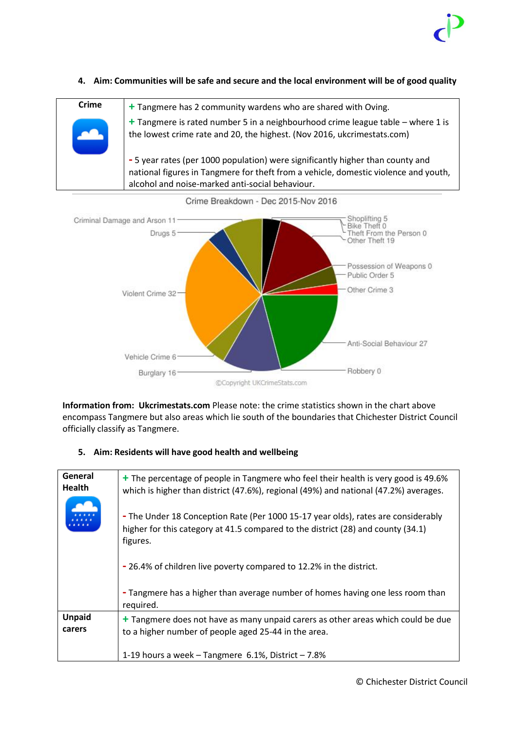

#### **4. Aim: Communities will be safe and secure and the local environment will be of good quality**





**Information from: Ukcrimestats.com** Please note: the crime statistics shown in the chart above encompass Tangmere but also areas which lie south of the boundaries that Chichester District Council officially classify as Tangmere.

#### **5. Aim: Residents will have good health and wellbeing**

| General<br><b>Health</b> | + The percentage of people in Tangmere who feel their health is very good is 49.6%<br>which is higher than district (47.6%), regional (49%) and national (47.2%) averages.        |  |  |  |  |
|--------------------------|-----------------------------------------------------------------------------------------------------------------------------------------------------------------------------------|--|--|--|--|
|                          | - The Under 18 Conception Rate (Per 1000 15-17 year olds), rates are considerably<br>higher for this category at 41.5 compared to the district (28) and county (34.1)<br>figures. |  |  |  |  |
|                          | -26.4% of children live poverty compared to 12.2% in the district.                                                                                                                |  |  |  |  |
|                          | - Tangmere has a higher than average number of homes having one less room than<br>required.                                                                                       |  |  |  |  |
| <b>Unpaid</b>            | + Tangmere does not have as many unpaid carers as other areas which could be due                                                                                                  |  |  |  |  |
| carers                   | to a higher number of people aged 25-44 in the area.                                                                                                                              |  |  |  |  |
|                          | 1-19 hours a week $-$ Tangmere 6.1%, District $-7.8\%$                                                                                                                            |  |  |  |  |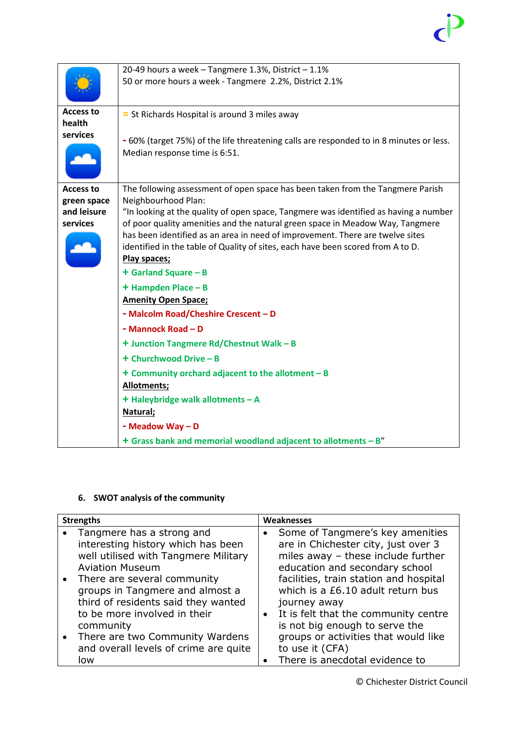# $\vec{c}$

|                                        | 20-49 hours a week - Tangmere 1.3%, District - 1.1%                                                                                                                                                                                                                                                                                                       |
|----------------------------------------|-----------------------------------------------------------------------------------------------------------------------------------------------------------------------------------------------------------------------------------------------------------------------------------------------------------------------------------------------------------|
|                                        | 50 or more hours a week - Tangmere 2.2%, District 2.1%                                                                                                                                                                                                                                                                                                    |
| <b>Access to</b><br>health<br>services | = St Richards Hospital is around 3 miles away                                                                                                                                                                                                                                                                                                             |
|                                        | - 60% (target 75%) of the life threatening calls are responded to in 8 minutes or less.<br>Median response time is 6:51.                                                                                                                                                                                                                                  |
| <b>Access to</b><br>green space        | The following assessment of open space has been taken from the Tangmere Parish<br>Neighbourhood Plan:                                                                                                                                                                                                                                                     |
| and leisure<br>services                | "In looking at the quality of open space, Tangmere was identified as having a number<br>of poor quality amenities and the natural green space in Meadow Way, Tangmere<br>has been identified as an area in need of improvement. There are twelve sites<br>identified in the table of Quality of sites, each have been scored from A to D.<br>Play spaces; |
|                                        | + Garland Square - B                                                                                                                                                                                                                                                                                                                                      |
|                                        | + Hampden Place - B                                                                                                                                                                                                                                                                                                                                       |
|                                        | <b>Amenity Open Space;</b>                                                                                                                                                                                                                                                                                                                                |
|                                        | - Malcolm Road/Cheshire Crescent - D                                                                                                                                                                                                                                                                                                                      |
|                                        | - Mannock Road - D                                                                                                                                                                                                                                                                                                                                        |
|                                        | + Junction Tangmere Rd/Chestnut Walk - B                                                                                                                                                                                                                                                                                                                  |
|                                        | + Churchwood Drive - B                                                                                                                                                                                                                                                                                                                                    |
|                                        | $+$ Community orchard adjacent to the allotment $-$ B<br>Allotments;                                                                                                                                                                                                                                                                                      |
|                                        | + Haleybridge walk allotments - A                                                                                                                                                                                                                                                                                                                         |
|                                        | Natural;                                                                                                                                                                                                                                                                                                                                                  |
|                                        | - Meadow Way - D                                                                                                                                                                                                                                                                                                                                          |
|                                        | + Grass bank and memorial woodland adjacent to allotments - B"                                                                                                                                                                                                                                                                                            |

### **6. SWOT analysis of the community**

| <b>Strengths</b> |                                                                                                       |           | Weaknesses                                                                                                     |  |
|------------------|-------------------------------------------------------------------------------------------------------|-----------|----------------------------------------------------------------------------------------------------------------|--|
|                  | Tangmere has a strong and<br>interesting history which has been                                       |           | Some of Tangmere's key amenities<br>are in Chichester city, just over 3                                        |  |
|                  | well utilised with Tangmere Military<br><b>Aviation Museum</b>                                        |           | miles away - these include further<br>education and secondary school                                           |  |
| $\bullet$        | There are several community<br>groups in Tangmere and almost a<br>third of residents said they wanted |           | facilities, train station and hospital<br>which is a £6.10 adult return bus<br>journey away                    |  |
|                  | to be more involved in their<br>community<br>There are two Community Wardens                          | $\bullet$ | It is felt that the community centre<br>is not big enough to serve the<br>groups or activities that would like |  |
|                  | and overall levels of crime are quite<br>low                                                          |           | to use it (CFA)<br>There is anecdotal evidence to                                                              |  |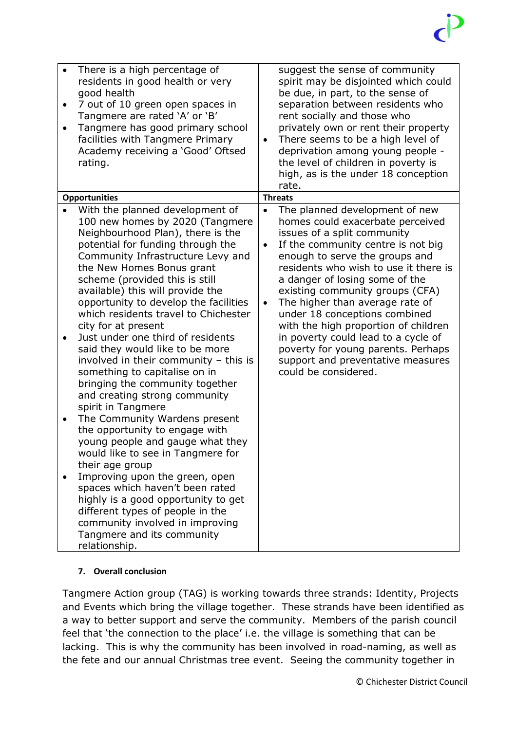| $\bullet$<br>$\bullet$ | There is a high percentage of<br>residents in good health or very<br>good health<br>7 out of 10 green open spaces in<br>Tangmere are rated 'A' or 'B'<br>Tangmere has good primary school<br>facilities with Tangmere Primary<br>Academy receiving a 'Good' Oftsed<br>rating.                                                                                                                                                                                                                                                                                                                                                                                                                                                                                                                                                                                                                                                                                                                                                             | $\bullet$              | suggest the sense of community<br>spirit may be disjointed which could<br>be due, in part, to the sense of<br>separation between residents who<br>rent socially and those who<br>privately own or rent their property<br>There seems to be a high level of<br>deprivation among young people -<br>the level of children in poverty is<br>high, as is the under 18 conception<br>rate.                                                                                                                                                         |
|------------------------|-------------------------------------------------------------------------------------------------------------------------------------------------------------------------------------------------------------------------------------------------------------------------------------------------------------------------------------------------------------------------------------------------------------------------------------------------------------------------------------------------------------------------------------------------------------------------------------------------------------------------------------------------------------------------------------------------------------------------------------------------------------------------------------------------------------------------------------------------------------------------------------------------------------------------------------------------------------------------------------------------------------------------------------------|------------------------|-----------------------------------------------------------------------------------------------------------------------------------------------------------------------------------------------------------------------------------------------------------------------------------------------------------------------------------------------------------------------------------------------------------------------------------------------------------------------------------------------------------------------------------------------|
|                        | <b>Opportunities</b>                                                                                                                                                                                                                                                                                                                                                                                                                                                                                                                                                                                                                                                                                                                                                                                                                                                                                                                                                                                                                      |                        | <b>Threats</b>                                                                                                                                                                                                                                                                                                                                                                                                                                                                                                                                |
|                        | With the planned development of<br>100 new homes by 2020 (Tangmere<br>Neighbourhood Plan), there is the<br>potential for funding through the<br>Community Infrastructure Levy and<br>the New Homes Bonus grant<br>scheme (provided this is still<br>available) this will provide the<br>opportunity to develop the facilities<br>which residents travel to Chichester<br>city for at present<br>Just under one third of residents<br>said they would like to be more<br>involved in their community - this is<br>something to capitalise on in<br>bringing the community together<br>and creating strong community<br>spirit in Tangmere<br>The Community Wardens present<br>the opportunity to engage with<br>young people and gauge what they<br>would like to see in Tangmere for<br>their age group<br>Improving upon the green, open<br>spaces which haven't been rated<br>highly is a good opportunity to get<br>different types of people in the<br>community involved in improving<br>Tangmere and its community<br>relationship. | $\bullet$<br>$\bullet$ | The planned development of new<br>homes could exacerbate perceived<br>issues of a split community<br>If the community centre is not big<br>enough to serve the groups and<br>residents who wish to use it there is<br>a danger of losing some of the<br>existing community groups (CFA)<br>The higher than average rate of<br>under 18 conceptions combined<br>with the high proportion of children<br>in poverty could lead to a cycle of<br>poverty for young parents. Perhaps<br>support and preventative measures<br>could be considered. |

### **7. Overall conclusion**

Tangmere Action group (TAG) is working towards three strands: Identity, Projects and Events which bring the village together. These strands have been identified as a way to better support and serve the community. Members of the parish council feel that 'the connection to the place' i.e. the village is something that can be lacking. This is why the community has been involved in road-naming, as well as the fete and our annual Christmas tree event. Seeing the community together in